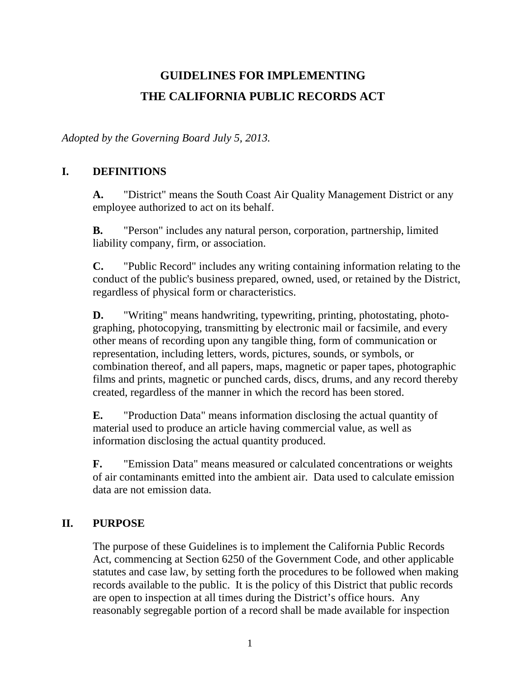# **GUIDELINES FOR IMPLEMENTING THE CALIFORNIA PUBLIC RECORDS ACT**

*Adopted by the Governing Board July 5, 2013.*

# **I. DEFINITIONS**

**A.** "District" means the South Coast Air Quality Management District or any employee authorized to act on its behalf.

**B.** "Person" includes any natural person, corporation, partnership, limited liability company, firm, or association.

**C.** "Public Record" includes any writing containing information relating to the conduct of the public's business prepared, owned, used, or retained by the District, regardless of physical form or characteristics.

**D.** "Writing" means handwriting, typewriting, printing, photostating, photographing, photocopying, transmitting by electronic mail or facsimile, and every other means of recording upon any tangible thing, form of communication or representation, including letters, words, pictures, sounds, or symbols, or combination thereof, and all papers, maps, magnetic or paper tapes, photographic films and prints, magnetic or punched cards, discs, drums, and any record thereby created, regardless of the manner in which the record has been stored.

**E.** "Production Data" means information disclosing the actual quantity of material used to produce an article having commercial value, as well as information disclosing the actual quantity produced.

**F.** "Emission Data" means measured or calculated concentrations or weights of air contaminants emitted into the ambient air. Data used to calculate emission data are not emission data.

# **II. PURPOSE**

The purpose of these Guidelines is to implement the California Public Records Act, commencing at Section 6250 of the Government Code, and other applicable statutes and case law, by setting forth the procedures to be followed when making records available to the public. It is the policy of this District that public records are open to inspection at all times during the District's office hours. Any reasonably segregable portion of a record shall be made available for inspection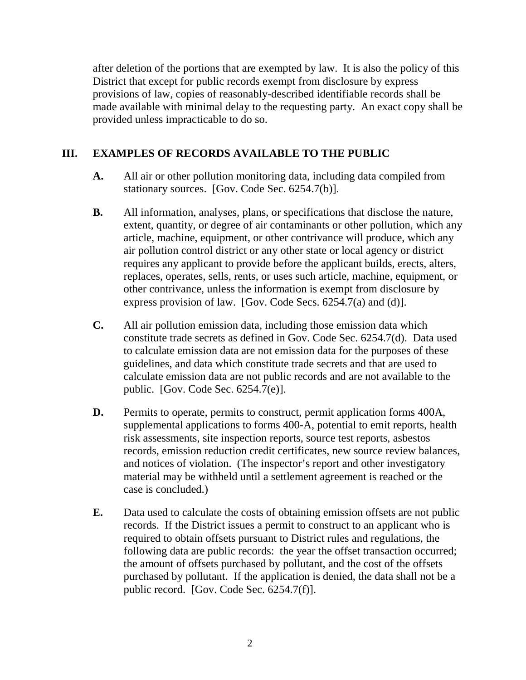after deletion of the portions that are exempted by law. It is also the policy of this District that except for public records exempt from disclosure by express provisions of law, copies of reasonably-described identifiable records shall be made available with minimal delay to the requesting party. An exact copy shall be provided unless impracticable to do so.

# **III. EXAMPLES OF RECORDS AVAILABLE TO THE PUBLIC**

- **A.** All air or other pollution monitoring data, including data compiled from stationary sources. [Gov. Code Sec. 6254.7(b)].
- **B.** All information, analyses, plans, or specifications that disclose the nature, extent, quantity, or degree of air contaminants or other pollution, which any article, machine, equipment, or other contrivance will produce, which any air pollution control district or any other state or local agency or district requires any applicant to provide before the applicant builds, erects, alters, replaces, operates, sells, rents, or uses such article, machine, equipment, or other contrivance, unless the information is exempt from disclosure by express provision of law. [Gov. Code Secs. 6254.7(a) and (d)].
- **C.** All air pollution emission data, including those emission data which constitute trade secrets as defined in Gov. Code Sec. 6254.7(d). Data used to calculate emission data are not emission data for the purposes of these guidelines, and data which constitute trade secrets and that are used to calculate emission data are not public records and are not available to the public. [Gov. Code Sec. 6254.7(e)].
- **D.** Permits to operate, permits to construct, permit application forms 400A, supplemental applications to forms 400-A, potential to emit reports, health risk assessments, site inspection reports, source test reports, asbestos records, emission reduction credit certificates, new source review balances, and notices of violation. (The inspector's report and other investigatory material may be withheld until a settlement agreement is reached or the case is concluded.)
- **E.** Data used to calculate the costs of obtaining emission offsets are not public records. If the District issues a permit to construct to an applicant who is required to obtain offsets pursuant to District rules and regulations, the following data are public records: the year the offset transaction occurred; the amount of offsets purchased by pollutant, and the cost of the offsets purchased by pollutant. If the application is denied, the data shall not be a public record. [Gov. Code Sec. 6254.7(f)].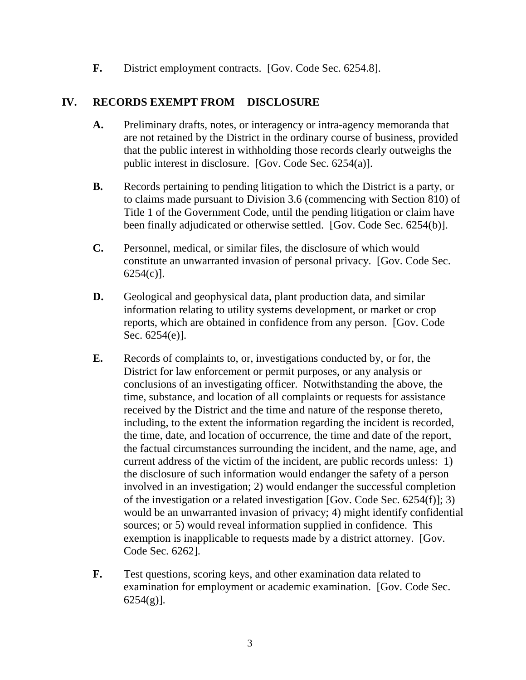**F.** District employment contracts. [Gov. Code Sec. 6254.8].

# **IV. RECORDS EXEMPT FROM DISCLOSURE**

- **A.** Preliminary drafts, notes, or interagency or intra-agency memoranda that are not retained by the District in the ordinary course of business, provided that the public interest in withholding those records clearly outweighs the public interest in disclosure. [Gov. Code Sec. 6254(a)].
- **B.** Records pertaining to pending litigation to which the District is a party, or to claims made pursuant to Division 3.6 (commencing with Section 810) of Title 1 of the Government Code, until the pending litigation or claim have been finally adjudicated or otherwise settled. [Gov. Code Sec. 6254(b)].
- **C.** Personnel, medical, or similar files, the disclosure of which would constitute an unwarranted invasion of personal privacy. [Gov. Code Sec. 6254(c)].
- **D.** Geological and geophysical data, plant production data, and similar information relating to utility systems development, or market or crop reports, which are obtained in confidence from any person. [Gov. Code Sec. 6254(e)].
- **E.** Records of complaints to, or, investigations conducted by, or for, the District for law enforcement or permit purposes, or any analysis or conclusions of an investigating officer. Notwithstanding the above, the time, substance, and location of all complaints or requests for assistance received by the District and the time and nature of the response thereto, including, to the extent the information regarding the incident is recorded, the time, date, and location of occurrence, the time and date of the report, the factual circumstances surrounding the incident, and the name, age, and current address of the victim of the incident, are public records unless: 1) the disclosure of such information would endanger the safety of a person involved in an investigation; 2) would endanger the successful completion of the investigation or a related investigation [Gov. Code Sec. 6254(f)]; 3) would be an unwarranted invasion of privacy; 4) might identify confidential sources; or 5) would reveal information supplied in confidence. This exemption is inapplicable to requests made by a district attorney. [Gov. Code Sec. 6262].
- **F.** Test questions, scoring keys, and other examination data related to examination for employment or academic examination. [Gov. Code Sec.  $6254(g)$ ].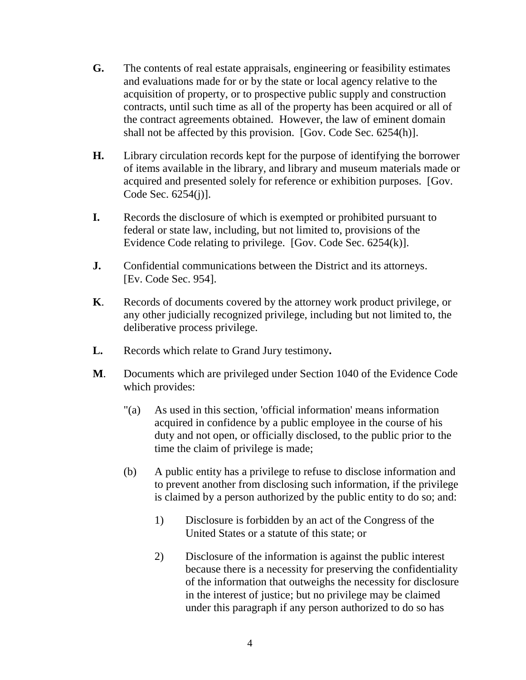- **G.** The contents of real estate appraisals, engineering or feasibility estimates and evaluations made for or by the state or local agency relative to the acquisition of property, or to prospective public supply and construction contracts, until such time as all of the property has been acquired or all of the contract agreements obtained. However, the law of eminent domain shall not be affected by this provision. [Gov. Code Sec. 6254(h)].
- **H.** Library circulation records kept for the purpose of identifying the borrower of items available in the library, and library and museum materials made or acquired and presented solely for reference or exhibition purposes. [Gov. Code Sec. 6254(j)].
- **I.** Records the disclosure of which is exempted or prohibited pursuant to federal or state law, including, but not limited to, provisions of the Evidence Code relating to privilege. [Gov. Code Sec. 6254(k)].
- **J.** Confidential communications between the District and its attorneys. [Ev. Code Sec. 954].
- **K**. Records of documents covered by the attorney work product privilege, or any other judicially recognized privilege, including but not limited to, the deliberative process privilege.
- **L.** Records which relate to Grand Jury testimony**.**
- **M**. Documents which are privileged under Section 1040 of the Evidence Code which provides:
	- "(a) As used in this section, 'official information' means information acquired in confidence by a public employee in the course of his duty and not open, or officially disclosed, to the public prior to the time the claim of privilege is made;
	- (b) A public entity has a privilege to refuse to disclose information and to prevent another from disclosing such information, if the privilege is claimed by a person authorized by the public entity to do so; and:
		- 1) Disclosure is forbidden by an act of the Congress of the United States or a statute of this state; or
		- 2) Disclosure of the information is against the public interest because there is a necessity for preserving the confidentiality of the information that outweighs the necessity for disclosure in the interest of justice; but no privilege may be claimed under this paragraph if any person authorized to do so has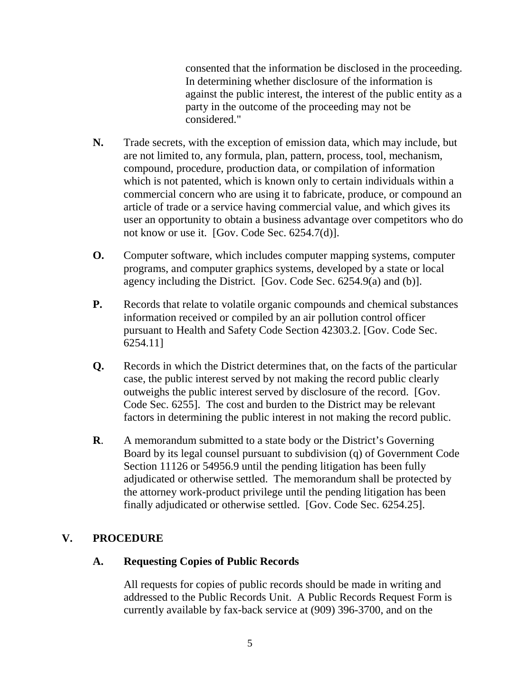consented that the information be disclosed in the proceeding. In determining whether disclosure of the information is against the public interest, the interest of the public entity as a party in the outcome of the proceeding may not be considered."

- **N.** Trade secrets, with the exception of emission data, which may include, but are not limited to, any formula, plan, pattern, process, tool, mechanism, compound, procedure, production data, or compilation of information which is not patented, which is known only to certain individuals within a commercial concern who are using it to fabricate, produce, or compound an article of trade or a service having commercial value, and which gives its user an opportunity to obtain a business advantage over competitors who do not know or use it. [Gov. Code Sec. 6254.7(d)].
- **O.** Computer software, which includes computer mapping systems, computer programs, and computer graphics systems, developed by a state or local agency including the District. [Gov. Code Sec. 6254.9(a) and (b)].
- **P.** Records that relate to volatile organic compounds and chemical substances information received or compiled by an air pollution control officer pursuant to Health and Safety Code Section 42303.2. [Gov. Code Sec. 6254.11]
- **Q.** Records in which the District determines that, on the facts of the particular case, the public interest served by not making the record public clearly outweighs the public interest served by disclosure of the record. [Gov. Code Sec. 6255]. The cost and burden to the District may be relevant factors in determining the public interest in not making the record public.
- **R**. A memorandum submitted to a state body or the District's Governing Board by its legal counsel pursuant to subdivision (q) of Government Code Section 11126 or 54956.9 until the pending litigation has been fully adjudicated or otherwise settled. The memorandum shall be protected by the attorney work-product privilege until the pending litigation has been finally adjudicated or otherwise settled. [Gov. Code Sec. 6254.25].

# **V. PROCEDURE**

# **A. Requesting Copies of Public Records**

All requests for copies of public records should be made in writing and addressed to the Public Records Unit. A Public Records Request Form is currently available by fax-back service at (909) 396-3700, and on the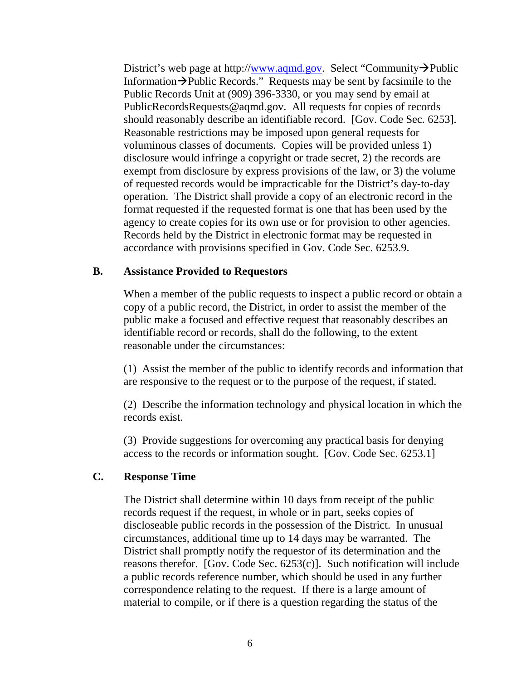District's web page at http:/[/www.aqmd.gov.](http://www.aqmd.gov/) Select "Community $\rightarrow$ Public Information  $\rightarrow$  Public Records." Requests may be sent by facsimile to the Public Records Unit at (909) 396-3330, or you may send by email at PublicRecordsRequests@aqmd.gov. All requests for copies of records should reasonably describe an identifiable record. [Gov. Code Sec. 6253]. Reasonable restrictions may be imposed upon general requests for voluminous classes of documents. Copies will be provided unless 1) disclosure would infringe a copyright or trade secret, 2) the records are exempt from disclosure by express provisions of the law, or 3) the volume of requested records would be impracticable for the District's day-to-day operation. The District shall provide a copy of an electronic record in the format requested if the requested format is one that has been used by the agency to create copies for its own use or for provision to other agencies. Records held by the District in electronic format may be requested in accordance with provisions specified in Gov. Code Sec. 6253.9.

#### **B. Assistance Provided to Requestors**

When a member of the public requests to inspect a public record or obtain a copy of a public record, the District, in order to assist the member of the public make a focused and effective request that reasonably describes an identifiable record or records, shall do the following, to the extent reasonable under the circumstances:

(1) Assist the member of the public to identify records and information that are responsive to the request or to the purpose of the request, if stated.

(2) Describe the information technology and physical location in which the records exist.

(3) Provide suggestions for overcoming any practical basis for denying access to the records or information sought. [Gov. Code Sec. 6253.1]

#### **C. Response Time**

The District shall determine within 10 days from receipt of the public records request if the request, in whole or in part, seeks copies of discloseable public records in the possession of the District. In unusual circumstances, additional time up to 14 days may be warranted. The District shall promptly notify the requestor of its determination and the reasons therefor. [Gov. Code Sec. 6253(c)]. Such notification will include a public records reference number, which should be used in any further correspondence relating to the request. If there is a large amount of material to compile, or if there is a question regarding the status of the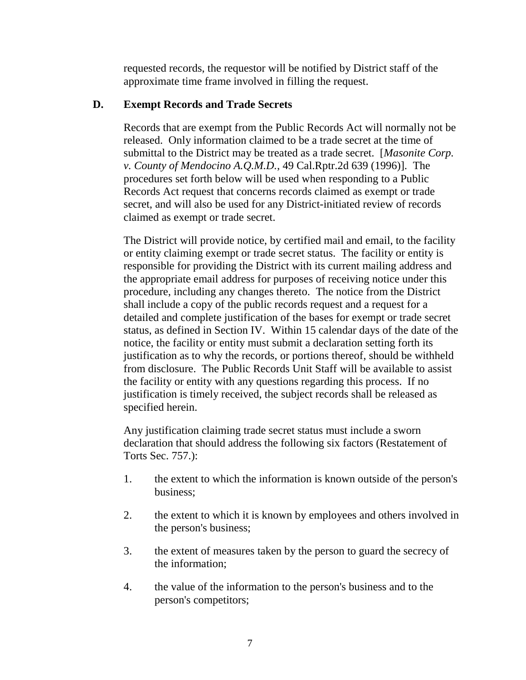requested records, the requestor will be notified by District staff of the approximate time frame involved in filling the request.

# **D. Exempt Records and Trade Secrets**

Records that are exempt from the Public Records Act will normally not be released. Only information claimed to be a trade secret at the time of submittal to the District may be treated as a trade secret. [*Masonite Corp. v. County of Mendocino A.Q.M.D.*, 49 Cal.Rptr.2d 639 (1996)]. The procedures set forth below will be used when responding to a Public Records Act request that concerns records claimed as exempt or trade secret, and will also be used for any District-initiated review of records claimed as exempt or trade secret.

The District will provide notice, by certified mail and email, to the facility or entity claiming exempt or trade secret status. The facility or entity is responsible for providing the District with its current mailing address and the appropriate email address for purposes of receiving notice under this procedure, including any changes thereto. The notice from the District shall include a copy of the public records request and a request for a detailed and complete justification of the bases for exempt or trade secret status, as defined in Section IV. Within 15 calendar days of the date of the notice, the facility or entity must submit a declaration setting forth its justification as to why the records, or portions thereof, should be withheld from disclosure. The Public Records Unit Staff will be available to assist the facility or entity with any questions regarding this process. If no justification is timely received, the subject records shall be released as specified herein.

Any justification claiming trade secret status must include a sworn declaration that should address the following six factors (Restatement of Torts Sec. 757.):

- 1. the extent to which the information is known outside of the person's business;
- 2. the extent to which it is known by employees and others involved in the person's business;
- 3. the extent of measures taken by the person to guard the secrecy of the information;
- 4. the value of the information to the person's business and to the person's competitors;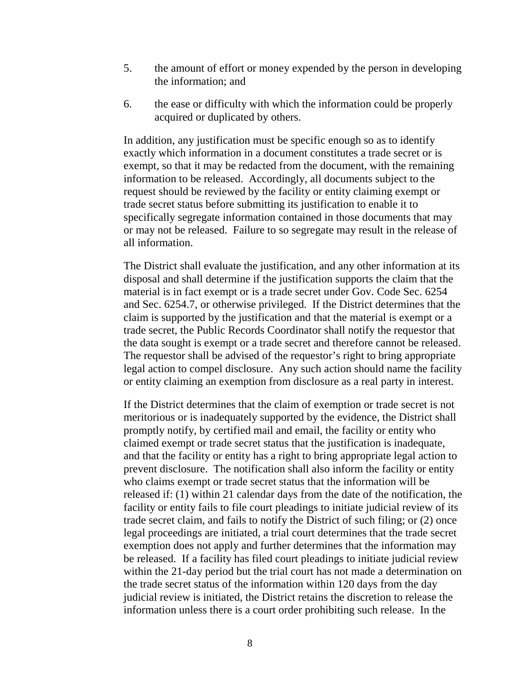- 5. the amount of effort or money expended by the person in developing the information; and
- 6. the ease or difficulty with which the information could be properly acquired or duplicated by others.

In addition, any justification must be specific enough so as to identify exactly which information in a document constitutes a trade secret or is exempt, so that it may be redacted from the document, with the remaining information to be released. Accordingly, all documents subject to the request should be reviewed by the facility or entity claiming exempt or trade secret status before submitting its justification to enable it to specifically segregate information contained in those documents that may or may not be released. Failure to so segregate may result in the release of all information.

The District shall evaluate the justification, and any other information at its disposal and shall determine if the justification supports the claim that the material is in fact exempt or is a trade secret under Gov. Code Sec. 6254 and Sec. 6254.7, or otherwise privileged. If the District determines that the claim is supported by the justification and that the material is exempt or a trade secret, the Public Records Coordinator shall notify the requestor that the data sought is exempt or a trade secret and therefore cannot be released. The requestor shall be advised of the requestor's right to bring appropriate legal action to compel disclosure. Any such action should name the facility or entity claiming an exemption from disclosure as a real party in interest.

If the District determines that the claim of exemption or trade secret is not meritorious or is inadequately supported by the evidence, the District shall promptly notify, by certified mail and email, the facility or entity who claimed exempt or trade secret status that the justification is inadequate, and that the facility or entity has a right to bring appropriate legal action to prevent disclosure. The notification shall also inform the facility or entity who claims exempt or trade secret status that the information will be released if: (1) within 21 calendar days from the date of the notification, the facility or entity fails to file court pleadings to initiate judicial review of its trade secret claim, and fails to notify the District of such filing; or (2) once legal proceedings are initiated, a trial court determines that the trade secret exemption does not apply and further determines that the information may be released. If a facility has filed court pleadings to initiate judicial review within the 21-day period but the trial court has not made a determination on the trade secret status of the information within 120 days from the day judicial review is initiated, the District retains the discretion to release the information unless there is a court order prohibiting such release. In the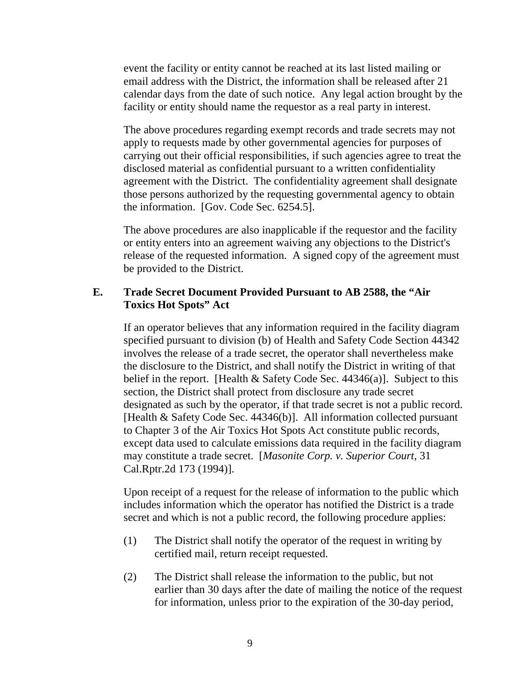event the facility or entity cannot be reached at its last listed mailing or email address with the District, the information shall be released after 21 calendar days from the date of such notice. Any legal action brought by the facility or entity should name the requestor as a real party in interest.

The above procedures regarding exempt records and trade secrets may not apply to requests made by other governmental agencies for purposes of carrying out their official responsibilities, if such agencies agree to treat the disclosed material as confidential pursuant to a written confidentiality agreement with the District. The confidentiality agreement shall designate those persons authorized by the requesting governmental agency to obtain the information. [Gov. Code Sec. 6254.5].

The above procedures are also inapplicable if the requestor and the facility or entity enters into an agreement waiving any objections to the District's release of the requested information. A signed copy of the agreement must be provided to the District.

### **E. Trade Secret Document Provided Pursuant to AB 2588, the "Air Toxics Hot Spots" Act**

If an operator believes that any information required in the facility diagram specified pursuant to division (b) of Health and Safety Code Section 44342 involves the release of a trade secret, the operator shall nevertheless make the disclosure to the District, and shall notify the District in writing of that belief in the report. [Health  $&$  Safety Code Sec. 44346(a)]. Subject to this section, the District shall protect from disclosure any trade secret designated as such by the operator, if that trade secret is not a public record. [Health & Safety Code Sec. 44346(b)]. All information collected pursuant to Chapter 3 of the Air Toxics Hot Spots Act constitute public records, except data used to calculate emissions data required in the facility diagram may constitute a trade secret. [*Masonite Corp. v. Superior Court*, 31 Cal.Rptr.2d 173 (1994)].

Upon receipt of a request for the release of information to the public which includes information which the operator has notified the District is a trade secret and which is not a public record, the following procedure applies:

- (1) The District shall notify the operator of the request in writing by certified mail, return receipt requested.
- (2) The District shall release the information to the public, but not earlier than 30 days after the date of mailing the notice of the request for information, unless prior to the expiration of the 30-day period,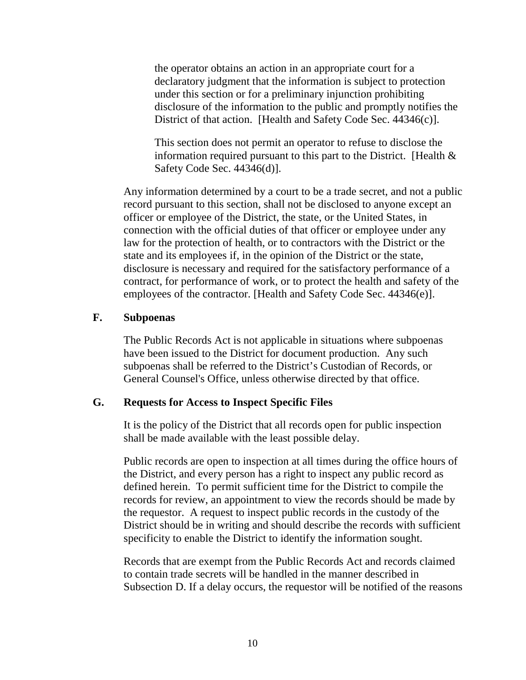the operator obtains an action in an appropriate court for a declaratory judgment that the information is subject to protection under this section or for a preliminary injunction prohibiting disclosure of the information to the public and promptly notifies the District of that action. [Health and Safety Code Sec. 44346(c)].

This section does not permit an operator to refuse to disclose the information required pursuant to this part to the District. [Health & Safety Code Sec. 44346(d)].

Any information determined by a court to be a trade secret, and not a public record pursuant to this section, shall not be disclosed to anyone except an officer or employee of the District, the state, or the United States, in connection with the official duties of that officer or employee under any law for the protection of health, or to contractors with the District or the state and its employees if, in the opinion of the District or the state, disclosure is necessary and required for the satisfactory performance of a contract, for performance of work, or to protect the health and safety of the employees of the contractor. [Health and Safety Code Sec. 44346(e)].

#### **F. Subpoenas**

The Public Records Act is not applicable in situations where subpoenas have been issued to the District for document production. Any such subpoenas shall be referred to the District's Custodian of Records, or General Counsel's Office, unless otherwise directed by that office.

#### **G. Requests for Access to Inspect Specific Files**

It is the policy of the District that all records open for public inspection shall be made available with the least possible delay.

Public records are open to inspection at all times during the office hours of the District, and every person has a right to inspect any public record as defined herein. To permit sufficient time for the District to compile the records for review, an appointment to view the records should be made by the requestor. A request to inspect public records in the custody of the District should be in writing and should describe the records with sufficient specificity to enable the District to identify the information sought.

Records that are exempt from the Public Records Act and records claimed to contain trade secrets will be handled in the manner described in Subsection D. If a delay occurs, the requestor will be notified of the reasons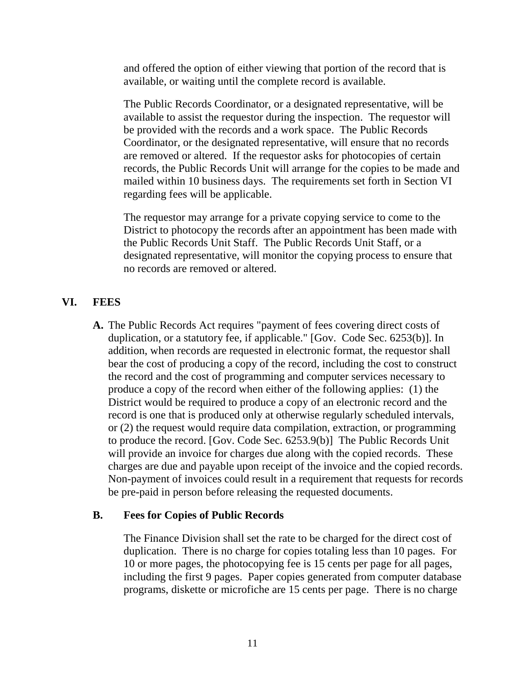and offered the option of either viewing that portion of the record that is available, or waiting until the complete record is available.

The Public Records Coordinator, or a designated representative, will be available to assist the requestor during the inspection. The requestor will be provided with the records and a work space. The Public Records Coordinator, or the designated representative, will ensure that no records are removed or altered. If the requestor asks for photocopies of certain records, the Public Records Unit will arrange for the copies to be made and mailed within 10 business days. The requirements set forth in Section VI regarding fees will be applicable.

The requestor may arrange for a private copying service to come to the District to photocopy the records after an appointment has been made with the Public Records Unit Staff. The Public Records Unit Staff, or a designated representative, will monitor the copying process to ensure that no records are removed or altered.

# **VI. FEES**

**A.** The Public Records Act requires "payment of fees covering direct costs of duplication, or a statutory fee, if applicable." [Gov. Code Sec. 6253(b)]. In addition, when records are requested in electronic format, the requestor shall bear the cost of producing a copy of the record, including the cost to construct the record and the cost of programming and computer services necessary to produce a copy of the record when either of the following applies: (1) the District would be required to produce a copy of an electronic record and the record is one that is produced only at otherwise regularly scheduled intervals, or (2) the request would require data compilation, extraction, or programming to produce the record. [Gov. Code Sec. 6253.9(b)] The Public Records Unit will provide an invoice for charges due along with the copied records. These charges are due and payable upon receipt of the invoice and the copied records. Non-payment of invoices could result in a requirement that requests for records be pre-paid in person before releasing the requested documents.

#### **B. Fees for Copies of Public Records**

The Finance Division shall set the rate to be charged for the direct cost of duplication. There is no charge for copies totaling less than 10 pages. For 10 or more pages, the photocopying fee is 15 cents per page for all pages, including the first 9 pages. Paper copies generated from computer database programs, diskette or microfiche are 15 cents per page. There is no charge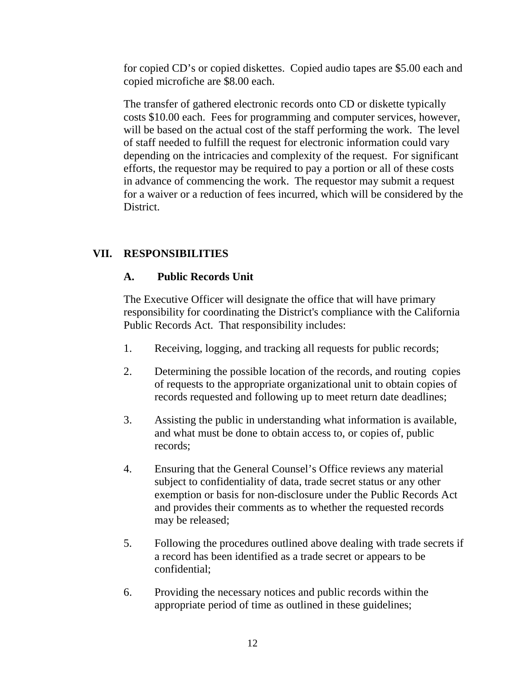for copied CD's or copied diskettes. Copied audio tapes are \$5.00 each and copied microfiche are \$8.00 each.

The transfer of gathered electronic records onto CD or diskette typically costs \$10.00 each. Fees for programming and computer services, however, will be based on the actual cost of the staff performing the work. The level of staff needed to fulfill the request for electronic information could vary depending on the intricacies and complexity of the request. For significant efforts, the requestor may be required to pay a portion or all of these costs in advance of commencing the work. The requestor may submit a request for a waiver or a reduction of fees incurred, which will be considered by the **District** 

# **VII. RESPONSIBILITIES**

# **A. Public Records Unit**

The Executive Officer will designate the office that will have primary responsibility for coordinating the District's compliance with the California Public Records Act. That responsibility includes:

- 1. Receiving, logging, and tracking all requests for public records;
- 2. Determining the possible location of the records, and routing copies of requests to the appropriate organizational unit to obtain copies of records requested and following up to meet return date deadlines;
- 3. Assisting the public in understanding what information is available, and what must be done to obtain access to, or copies of, public records;
- 4. Ensuring that the General Counsel's Office reviews any material subject to confidentiality of data, trade secret status or any other exemption or basis for non-disclosure under the Public Records Act and provides their comments as to whether the requested records may be released;
- 5. Following the procedures outlined above dealing with trade secrets if a record has been identified as a trade secret or appears to be confidential;
- 6. Providing the necessary notices and public records within the appropriate period of time as outlined in these guidelines;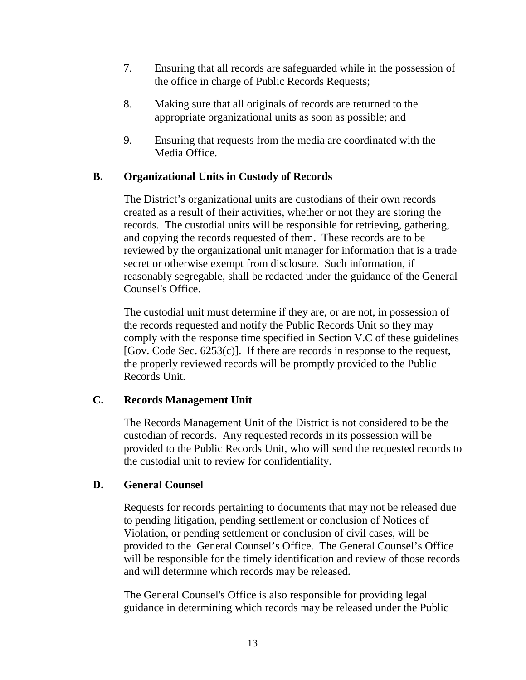- 7. Ensuring that all records are safeguarded while in the possession of the office in charge of Public Records Requests;
- 8. Making sure that all originals of records are returned to the appropriate organizational units as soon as possible; and
- 9. Ensuring that requests from the media are coordinated with the Media Office.

# **B. Organizational Units in Custody of Records**

The District's organizational units are custodians of their own records created as a result of their activities, whether or not they are storing the records. The custodial units will be responsible for retrieving, gathering, and copying the records requested of them. These records are to be reviewed by the organizational unit manager for information that is a trade secret or otherwise exempt from disclosure. Such information, if reasonably segregable, shall be redacted under the guidance of the General Counsel's Office.

The custodial unit must determine if they are, or are not, in possession of the records requested and notify the Public Records Unit so they may comply with the response time specified in Section V.C of these guidelines [Gov. Code Sec.  $6253(c)$ ]. If there are records in response to the request, the properly reviewed records will be promptly provided to the Public Records Unit.

# **C. Records Management Unit**

The Records Management Unit of the District is not considered to be the custodian of records. Any requested records in its possession will be provided to the Public Records Unit, who will send the requested records to the custodial unit to review for confidentiality.

# **D. General Counsel**

Requests for records pertaining to documents that may not be released due to pending litigation, pending settlement or conclusion of Notices of Violation, or pending settlement or conclusion of civil cases, will be provided to the General Counsel's Office. The General Counsel's Office will be responsible for the timely identification and review of those records and will determine which records may be released.

The General Counsel's Office is also responsible for providing legal guidance in determining which records may be released under the Public